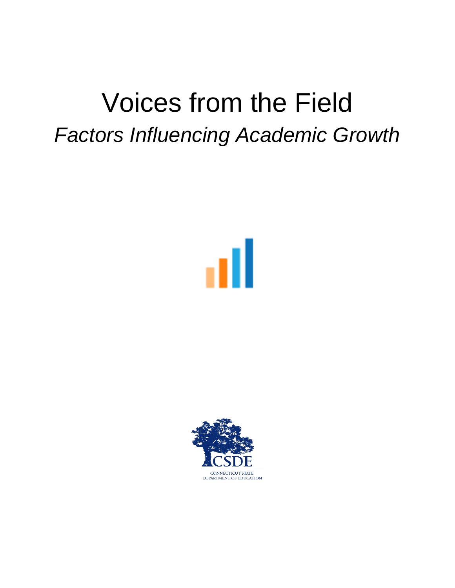# Voices from the Field *Factors Influencing Academic Growth*



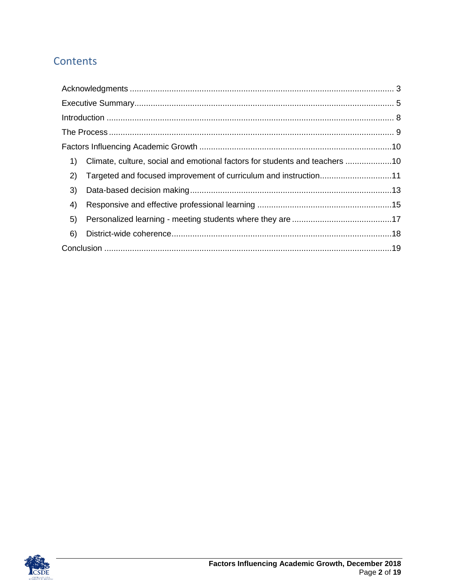## Contents

| 1) | Climate, culture, social and emotional factors for students and teachers 10 |  |
|----|-----------------------------------------------------------------------------|--|
| 2) | Targeted and focused improvement of curriculum and instruction11            |  |
| 3) |                                                                             |  |
| 4) |                                                                             |  |
| 5) |                                                                             |  |
| 6) |                                                                             |  |
|    |                                                                             |  |

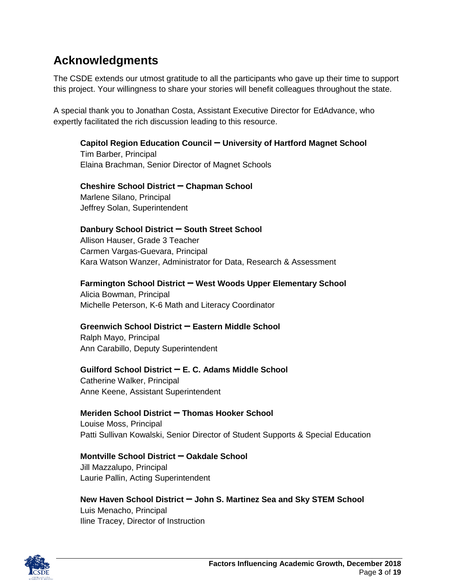# <span id="page-2-0"></span>**Acknowledgments**

The CSDE extends our utmost gratitude to all the participants who gave up their time to support this project. Your willingness to share your stories will benefit colleagues throughout the state.

A special thank you to Jonathan Costa, Assistant Executive Director for EdAdvance, who expertly facilitated the rich discussion leading to this resource.

**Capitol Region Education Council ꟷ University of Hartford Magnet School**

Tim Barber, Principal Elaina Brachman, Senior Director of Magnet Schools

**Cheshire School District ꟷ Chapman School** Marlene Silano, Principal Jeffrey Solan, Superintendent

#### **Danbury School District ꟷ South Street School**

Allison Hauser, Grade 3 Teacher Carmen Vargas-Guevara, Principal Kara Watson Wanzer, Administrator for Data, Research & Assessment

#### **Farmington School District – West Woods Upper Elementary School**

Alicia Bowman, Principal Michelle Peterson, K-6 Math and Literacy Coordinator

#### **Greenwich School District ꟷ Eastern Middle School**

Ralph Mayo, Principal Ann Carabillo, Deputy Superintendent

#### **Guilford School District ꟷ E. C. Adams Middle School**

Catherine Walker, Principal Anne Keene, Assistant Superintendent

#### **Meriden School District ꟷ Thomas Hooker School**

Louise Moss, Principal Patti Sullivan Kowalski, Senior Director of Student Supports & Special Education

#### **Montville School District ꟷ Oakdale School**

Jill Mazzalupo, Principal Laurie Pallin, Acting Superintendent

#### **New Haven School District ꟷ John S. Martinez Sea and Sky STEM School**

Luis Menacho, Principal Iline Tracey, Director of Instruction

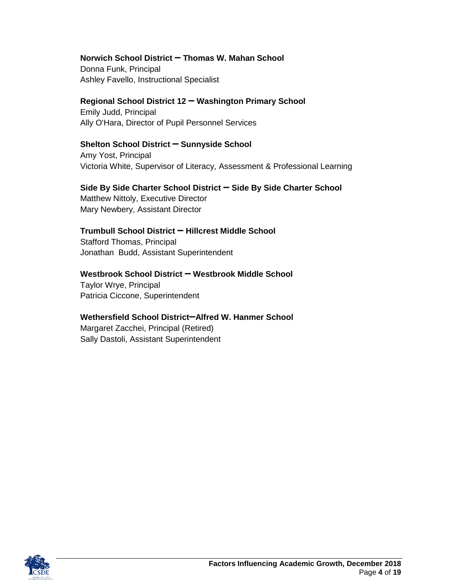#### **Norwich School District ꟷ Thomas W. Mahan School**

Donna Funk, Principal Ashley Favello, Instructional Specialist

#### **Regional School District 12 ꟷ Washington Primary School**

Emily Judd, Principal Ally O'Hara, Director of Pupil Personnel Services

#### **Shelton School District ꟷ Sunnyside School**

Amy Yost, Principal Victoria White, Supervisor of Literacy, Assessment & Professional Learning

#### **Side By Side Charter School District ꟷ Side By Side Charter School**

Matthew Nittoly, Executive Director Mary Newbery, Assistant Director

#### **Trumbull School District ꟷ Hillcrest Middle School**

Stafford Thomas, Principal Jonathan Budd, Assistant Superintendent

#### **Westbrook School District ꟷ Westbrook Middle School**

Taylor Wrye, Principal Patricia Ciccone, Superintendent

#### Wethersfield School District-Alfred W. Hanmer School

Margaret Zacchei, Principal (Retired) Sally Dastoli, Assistant Superintendent

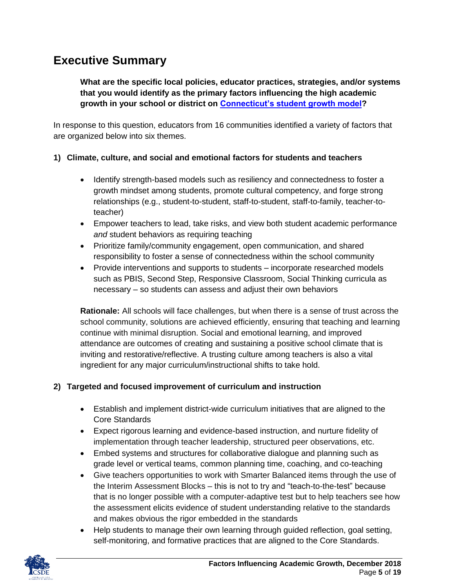# <span id="page-4-0"></span>**Executive Summary**

**What are the specific local policies, educator practices, strategies, and/or systems that you would identify as the primary factors influencing the high academic growth in your school or district on [Connecticut's student growth model?](http://edsight.ct.gov/relatedreports/CT%20Growth%20Model%20Technical%20Paper%20FINAL.pdf)**

In response to this question, educators from 16 communities identified a variety of factors that are organized below into six themes.

#### **1) Climate, culture, and social and emotional factors for students and teachers**

- Identify strength-based models such as resiliency and connectedness to foster a growth mindset among students, promote cultural competency, and forge strong relationships (e.g., student-to-student, staff-to-student, staff-to-family, teacher-toteacher)
- Empower teachers to lead, take risks, and view both student academic performance *and* student behaviors as requiring teaching
- Prioritize family/community engagement, open communication, and shared responsibility to foster a sense of connectedness within the school community
- Provide interventions and supports to students incorporate researched models such as PBIS, Second Step, Responsive Classroom, Social Thinking curricula as necessary – so students can assess and adjust their own behaviors

**Rationale:** All schools will face challenges, but when there is a sense of trust across the school community, solutions are achieved efficiently, ensuring that teaching and learning continue with minimal disruption. Social and emotional learning, and improved attendance are outcomes of creating and sustaining a positive school climate that is inviting and restorative/reflective. A trusting culture among teachers is also a vital ingredient for any major curriculum/instructional shifts to take hold.

#### **2) Targeted and focused improvement of curriculum and instruction**

- Establish and implement district-wide curriculum initiatives that are aligned to the Core Standards
- Expect rigorous learning and evidence-based instruction, and nurture fidelity of implementation through teacher leadership, structured peer observations, etc.
- Embed systems and structures for collaborative dialogue and planning such as grade level or vertical teams, common planning time, coaching, and co-teaching
- Give teachers opportunities to work with Smarter Balanced items through the use of the Interim Assessment Blocks – this is not to try and "teach-to-the-test" because that is no longer possible with a computer-adaptive test but to help teachers see how the assessment elicits evidence of student understanding relative to the standards and makes obvious the rigor embedded in the standards
- Help students to manage their own learning through guided reflection, goal setting, self-monitoring, and formative practices that are aligned to the Core Standards.

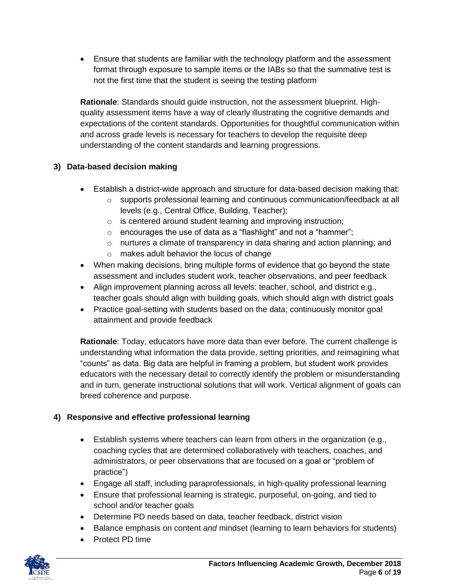Ensure that students are familiar with the technology platform and the assessment format through exposure to sample items or the IABs so that the summative test is not the first time that the student is seeing the testing platform

**Rationale**: Standards should guide instruction, not the assessment blueprint. Highquality assessment items have a way of clearly illustrating the cognitive demands and expectations of the content standards. Opportunities for thoughtful communication within and across grade levels is necessary for teachers to develop the requisite deep understanding of the content standards and learning progressions.

#### **3) Data-based decision making**

- Establish a district-wide approach and structure for data-based decision making that:
	- $\circ$  supports professional learning and continuous communication/feedback at all levels (e.g., Central Office, Building, Teacher);
	- $\circ$  is centered around student learning and improving instruction;
	- o encourages the use of data as a "flashlight" and not a "hammer";
	- o nurtures a climate of transparency in data sharing and action planning; and
	- o makes adult behavior the locus of change
- When making decisions, bring multiple forms of evidence that go beyond the state assessment and includes student work, teacher observations, and peer feedback
- Align improvement planning across all levels: teacher, school, and district e.g., teacher goals should align with building goals, which should align with district goals
- Practice goal-setting with students based on the data; continuously monitor goal attainment and provide feedback

**Rationale**: Today, educators have more data than ever before. The current challenge is understanding what information the data provide, setting priorities, and reimagining what "counts" as data. Big data are helpful in framing a problem, but student work provides educators with the necessary detail to correctly identify the problem or misunderstanding and in turn, generate instructional solutions that will work. Vertical alignment of goals can breed coherence and purpose.

#### **4) Responsive and effective professional learning**

- Establish systems where teachers can learn from others in the organization (e.g., coaching cycles that are determined collaboratively with teachers, coaches, and administrators, or peer observations that are focused on a goal or "problem of practice")
- Engage all staff, including paraprofessionals, in high-quality professional learning
- Ensure that professional learning is strategic, purposeful, on-going, and tied to school and/or teacher goals
- Determine PD needs based on data, teacher feedback, district vision
- Balance emphasis on content *and* mindset (learning to learn behaviors for students)
- Protect PD time

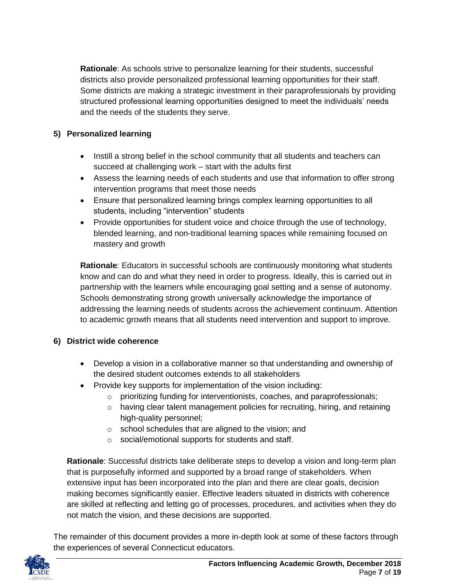**Rationale**: As schools strive to personalize learning for their students, successful districts also provide personalized professional learning opportunities for their staff. Some districts are making a strategic investment in their paraprofessionals by providing structured professional learning opportunities designed to meet the individuals' needs and the needs of the students they serve.

#### **5) Personalized learning**

- Instill a strong belief in the school community that all students and teachers can succeed at challenging work – start with the adults first
- Assess the learning needs of each students and use that information to offer strong intervention programs that meet those needs
- Ensure that personalized learning brings complex learning opportunities to all students, including "intervention" students
- Provide opportunities for student voice and choice through the use of technology, blended learning, and non-traditional learning spaces while remaining focused on mastery and growth

**Rationale**: Educators in successful schools are continuously monitoring what students know and can do and what they need in order to progress. Ideally, this is carried out in partnership with the learners while encouraging goal setting and a sense of autonomy. Schools demonstrating strong growth universally acknowledge the importance of addressing the learning needs of students across the achievement continuum. Attention to academic growth means that all students need intervention and support to improve.

#### **6) District wide coherence**

- Develop a vision in a collaborative manner so that understanding and ownership of the desired student outcomes extends to all stakeholders
- Provide key supports for implementation of the vision including:
	- o prioritizing funding for interventionists, coaches, and paraprofessionals;
	- $\circ$  having clear talent management policies for recruiting, hiring, and retaining high-quality personnel;
	- o school schedules that are aligned to the vision; and
	- o social/emotional supports for students and staff.

**Rationale**: Successful districts take deliberate steps to develop a vision and long-term plan that is purposefully informed and supported by a broad range of stakeholders. When extensive input has been incorporated into the plan and there are clear goals, decision making becomes significantly easier. Effective leaders situated in districts with coherence are skilled at reflecting and letting go of processes, procedures, and activities when they do not match the vision, and these decisions are supported.

The remainder of this document provides a more in-depth look at some of these factors through the experiences of several Connecticut educators.

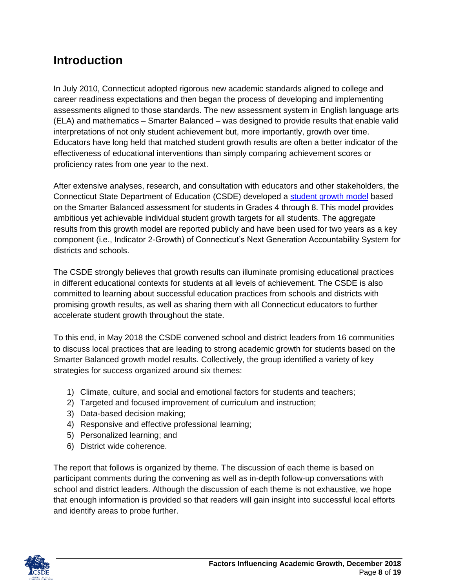# <span id="page-7-0"></span>**Introduction**

In July 2010, Connecticut adopted rigorous new academic standards aligned to college and career readiness expectations and then began the process of developing and implementing assessments aligned to those standards. The new assessment system in English language arts (ELA) and mathematics – Smarter Balanced – was designed to provide results that enable valid interpretations of not only student achievement but, more importantly, growth over time. Educators have long held that matched student growth results are often a better indicator of the effectiveness of educational interventions than simply comparing achievement scores or proficiency rates from one year to the next.

After extensive analyses, research, and consultation with educators and other stakeholders, the Connecticut State Department of Education (CSDE) developed a [student growth model](http://edsight.ct.gov/relatedreports/CT%20Growth%20Model%20Technical%20Paper%20FINAL.pdf) based on the Smarter Balanced assessment for students in Grades 4 through 8. This model provides ambitious yet achievable individual student growth targets for all students. The aggregate results from this growth model are reported publicly and have been used for two years as a key component (i.e., Indicator 2-Growth) of Connecticut's Next Generation Accountability System for districts and schools.

The CSDE strongly believes that growth results can illuminate promising educational practices in different educational contexts for students at all levels of achievement. The CSDE is also committed to learning about successful education practices from schools and districts with promising growth results, as well as sharing them with all Connecticut educators to further accelerate student growth throughout the state.

To this end, in May 2018 the CSDE convened school and district leaders from 16 communities to discuss local practices that are leading to strong academic growth for students based on the Smarter Balanced growth model results. Collectively, the group identified a variety of key strategies for success organized around six themes:

- 1) Climate, culture, and social and emotional factors for students and teachers;
- 2) Targeted and focused improvement of curriculum and instruction;
- 3) Data-based decision making;
- 4) Responsive and effective professional learning;
- 5) Personalized learning; and
- 6) District wide coherence.

The report that follows is organized by theme. The discussion of each theme is based on participant comments during the convening as well as in-depth follow-up conversations with school and district leaders. Although the discussion of each theme is not exhaustive, we hope that enough information is provided so that readers will gain insight into successful local efforts and identify areas to probe further.

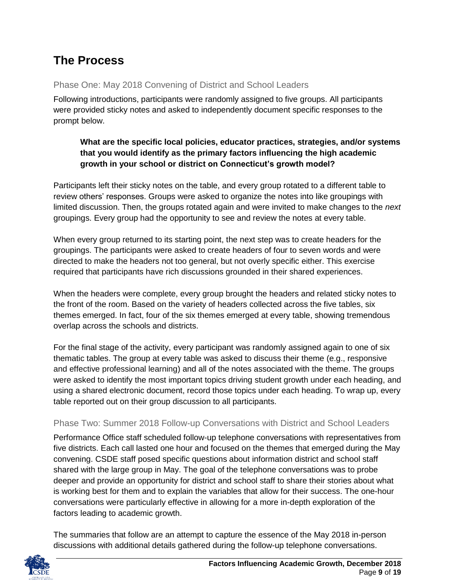# <span id="page-8-0"></span>**The Process**

#### Phase One: May 2018 Convening of District and School Leaders

Following introductions, participants were randomly assigned to five groups. All participants were provided sticky notes and asked to independently document specific responses to the prompt below.

#### **What are the specific local policies, educator practices, strategies, and/or systems that you would identify as the primary factors influencing the high academic growth in your school or district on Connecticut's growth model?**

Participants left their sticky notes on the table, and every group rotated to a different table to review others' responses. Groups were asked to organize the notes into like groupings with limited discussion. Then, the groups rotated again and were invited to make changes to the *next* groupings. Every group had the opportunity to see and review the notes at every table.

When every group returned to its starting point, the next step was to create headers for the groupings. The participants were asked to create headers of four to seven words and were directed to make the headers not too general, but not overly specific either. This exercise required that participants have rich discussions grounded in their shared experiences.

When the headers were complete, every group brought the headers and related sticky notes to the front of the room. Based on the variety of headers collected across the five tables, six themes emerged. In fact, four of the six themes emerged at every table, showing tremendous overlap across the schools and districts.

For the final stage of the activity, every participant was randomly assigned again to one of six thematic tables. The group at every table was asked to discuss their theme (e.g., responsive and effective professional learning) and all of the notes associated with the theme. The groups were asked to identify the most important topics driving student growth under each heading, and using a shared electronic document, record those topics under each heading. To wrap up, every table reported out on their group discussion to all participants.

#### Phase Two: Summer 2018 Follow-up Conversations with District and School Leaders

Performance Office staff scheduled follow-up telephone conversations with representatives from five districts. Each call lasted one hour and focused on the themes that emerged during the May convening. CSDE staff posed specific questions about information district and school staff shared with the large group in May. The goal of the telephone conversations was to probe deeper and provide an opportunity for district and school staff to share their stories about what is working best for them and to explain the variables that allow for their success. The one-hour conversations were particularly effective in allowing for a more in-depth exploration of the factors leading to academic growth.

The summaries that follow are an attempt to capture the essence of the May 2018 in-person discussions with additional details gathered during the follow-up telephone conversations.

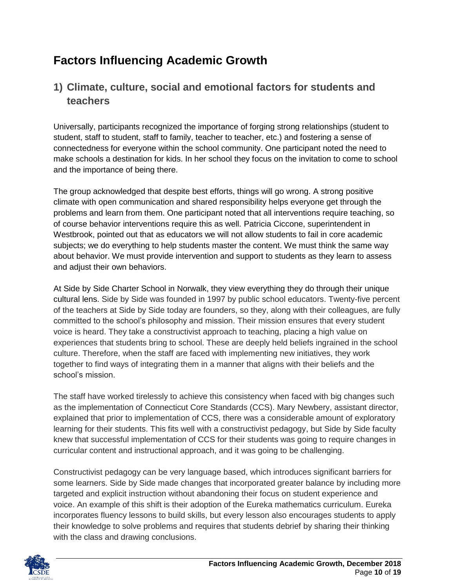# <span id="page-9-0"></span>**Factors Influencing Academic Growth**

## <span id="page-9-1"></span>**1) Climate, culture, social and emotional factors for students and teachers**

Universally, participants recognized the importance of forging strong relationships (student to student, staff to student, staff to family, teacher to teacher, etc.) and fostering a sense of connectedness for everyone within the school community. One participant noted the need to make schools a destination for kids. In her school they focus on the invitation to come to school and the importance of being there.

The group acknowledged that despite best efforts, things will go wrong. A strong positive climate with open communication and shared responsibility helps everyone get through the problems and learn from them. One participant noted that all interventions require teaching, so of course behavior interventions require this as well. Patricia Ciccone, superintendent in Westbrook, pointed out that as educators we will not allow students to fail in core academic subjects; we do everything to help students master the content. We must think the same way about behavior. We must provide intervention and support to students as they learn to assess and adjust their own behaviors.

At Side by Side Charter School in Norwalk, they view everything they do through their unique cultural lens. Side by Side was founded in 1997 by public school educators. Twenty-five percent of the teachers at Side by Side today are founders, so they, along with their colleagues, are fully committed to the school's philosophy and mission. Their mission ensures that every student voice is heard. They take a constructivist approach to teaching, placing a high value on experiences that students bring to school. These are deeply held beliefs ingrained in the school culture. Therefore, when the staff are faced with implementing new initiatives, they work together to find ways of integrating them in a manner that aligns with their beliefs and the school's mission.

The staff have worked tirelessly to achieve this consistency when faced with big changes such as the implementation of Connecticut Core Standards (CCS). Mary Newbery, assistant director, explained that prior to implementation of CCS, there was a considerable amount of exploratory learning for their students. This fits well with a constructivist pedagogy, but Side by Side faculty knew that successful implementation of CCS for their students was going to require changes in curricular content and instructional approach, and it was going to be challenging.

Constructivist pedagogy can be very language based, which introduces significant barriers for some learners. Side by Side made changes that incorporated greater balance by including more targeted and explicit instruction without abandoning their focus on student experience and voice. An example of this shift is their adoption of the Eureka mathematics curriculum. Eureka incorporates fluency lessons to build skills, but every lesson also encourages students to apply their knowledge to solve problems and requires that students debrief by sharing their thinking with the class and drawing conclusions.

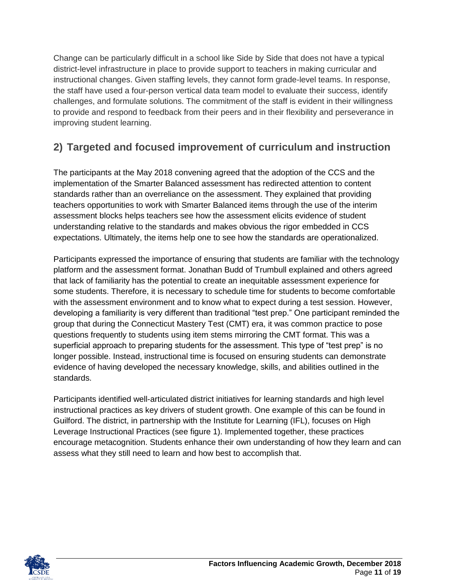Change can be particularly difficult in a school like Side by Side that does not have a typical district-level infrastructure in place to provide support to teachers in making curricular and instructional changes. Given staffing levels, they cannot form grade-level teams. In response, the staff have used a four-person vertical data team model to evaluate their success, identify challenges, and formulate solutions. The commitment of the staff is evident in their willingness to provide and respond to feedback from their peers and in their flexibility and perseverance in improving student learning.

## <span id="page-10-0"></span>**2) Targeted and focused improvement of curriculum and instruction**

The participants at the May 2018 convening agreed that the adoption of the CCS and the implementation of the Smarter Balanced assessment has redirected attention to content standards rather than an overreliance on the assessment. They explained that providing teachers opportunities to work with Smarter Balanced items through the use of the interim assessment blocks helps teachers see how the assessment elicits evidence of student understanding relative to the standards and makes obvious the rigor embedded in CCS expectations. Ultimately, the items help one to see how the standards are operationalized.

Participants expressed the importance of ensuring that students are familiar with the technology platform and the assessment format. Jonathan Budd of Trumbull explained and others agreed that lack of familiarity has the potential to create an inequitable assessment experience for some students. Therefore, it is necessary to schedule time for students to become comfortable with the assessment environment and to know what to expect during a test session. However, developing a familiarity is very different than traditional "test prep." One participant reminded the group that during the Connecticut Mastery Test (CMT) era, it was common practice to pose questions frequently to students using item stems mirroring the CMT format. This was a superficial approach to preparing students for the assessment. This type of "test prep" is no longer possible. Instead, instructional time is focused on ensuring students can demonstrate evidence of having developed the necessary knowledge, skills, and abilities outlined in the standards.

Participants identified well-articulated district initiatives for learning standards and high level instructional practices as key drivers of student growth. One example of this can be found in Guilford. The district, in partnership with the Institute for Learning (IFL), focuses on High Leverage Instructional Practices (see figure 1). Implemented together, these practices encourage metacognition. Students enhance their own understanding of how they learn and can assess what they still need to learn and how best to accomplish that.

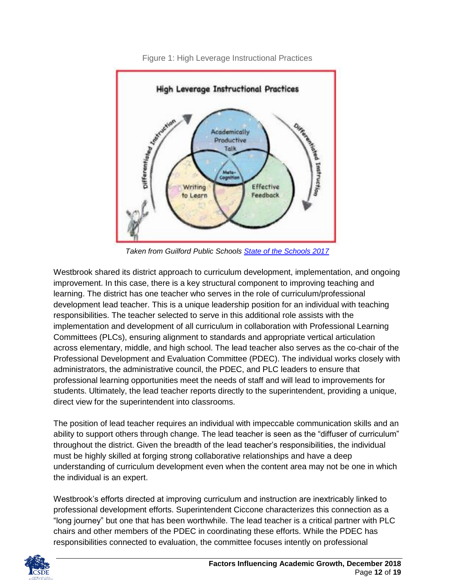

Figure 1: High Leverage Instructional Practices

*Taken from Guilford Public Schools [State of the Schools 2017](https://guilfordschools.org/State_of_the_Schools/2017%20SOS%20Report.pdf)*

Westbrook shared its district approach to curriculum development, implementation, and ongoing improvement. In this case, there is a key structural component to improving teaching and learning. The district has one teacher who serves in the role of curriculum/professional development lead teacher. This is a unique leadership position for an individual with teaching responsibilities. The teacher selected to serve in this additional role assists with the implementation and development of all curriculum in collaboration with Professional Learning Committees (PLCs), ensuring alignment to standards and appropriate vertical articulation across elementary, middle, and high school. The lead teacher also serves as the co-chair of the Professional Development and Evaluation Committee (PDEC). The individual works closely with administrators, the administrative council, the PDEC, and PLC leaders to ensure that professional learning opportunities meet the needs of staff and will lead to improvements for students. Ultimately, the lead teacher reports directly to the superintendent, providing a unique, direct view for the superintendent into classrooms.

The position of lead teacher requires an individual with impeccable communication skills and an ability to support others through change. The lead teacher is seen as the "diffuser of curriculum" throughout the district. Given the breadth of the lead teacher's responsibilities, the individual must be highly skilled at forging strong collaborative relationships and have a deep understanding of curriculum development even when the content area may not be one in which the individual is an expert.

Westbrook's efforts directed at improving curriculum and instruction are inextricably linked to professional development efforts. Superintendent Ciccone characterizes this connection as a "long journey" but one that has been worthwhile. The lead teacher is a critical partner with PLC chairs and other members of the PDEC in coordinating these efforts. While the PDEC has responsibilities connected to evaluation, the committee focuses intently on professional

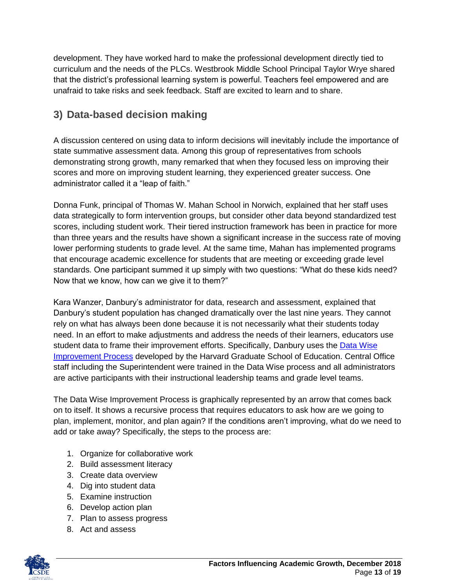development. They have worked hard to make the professional development directly tied to curriculum and the needs of the PLCs. Westbrook Middle School Principal Taylor Wrye shared that the district's professional learning system is powerful. Teachers feel empowered and are unafraid to take risks and seek feedback. Staff are excited to learn and to share.

## <span id="page-12-0"></span>**3) Data-based decision making**

A discussion centered on using data to inform decisions will inevitably include the importance of state summative assessment data. Among this group of representatives from schools demonstrating strong growth, many remarked that when they focused less on improving their scores and more on improving student learning, they experienced greater success. One administrator called it a "leap of faith."

Donna Funk, principal of Thomas W. Mahan School in Norwich, explained that her staff uses data strategically to form intervention groups, but consider other data beyond standardized test scores, including student work. Their tiered instruction framework has been in practice for more than three years and the results have shown a significant increase in the success rate of moving lower performing students to grade level. At the same time, Mahan has implemented programs that encourage academic excellence for students that are meeting or exceeding grade level standards. One participant summed it up simply with two questions: "What do these kids need? Now that we know, how can we give it to them?"

Kara Wanzer, Danbury's administrator for data, research and assessment, explained that Danbury's student population has changed dramatically over the last nine years. They cannot rely on what has always been done because it is not necessarily what their students today need. In an effort to make adjustments and address the needs of their learners, educators use student data to frame their improvement efforts. Specifically, Danbury uses the [Data Wise](https://datawise.gse.harvard.edu/)  [Improvement Process](https://datawise.gse.harvard.edu/) developed by the Harvard Graduate School of Education. Central Office staff including the Superintendent were trained in the Data Wise process and all administrators are active participants with their instructional leadership teams and grade level teams.

The Data Wise Improvement Process is graphically represented by an arrow that comes back on to itself. It shows a recursive process that requires educators to ask how are we going to plan, implement, monitor, and plan again? If the conditions aren't improving, what do we need to add or take away? Specifically, the steps to the process are:

- 1. Organize for collaborative work
- 2. Build assessment literacy
- 3. Create data overview
- 4. Dig into student data
- 5. Examine instruction
- 6. Develop action plan
- 7. Plan to assess progress
- 8. Act and assess

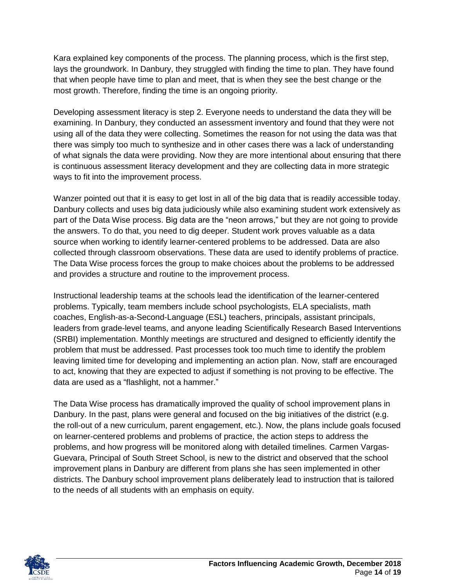Kara explained key components of the process. The planning process, which is the first step, lays the groundwork. In Danbury, they struggled with finding the time to plan. They have found that when people have time to plan and meet, that is when they see the best change or the most growth. Therefore, finding the time is an ongoing priority.

Developing assessment literacy is step 2. Everyone needs to understand the data they will be examining. In Danbury, they conducted an assessment inventory and found that they were not using all of the data they were collecting. Sometimes the reason for not using the data was that there was simply too much to synthesize and in other cases there was a lack of understanding of what signals the data were providing. Now they are more intentional about ensuring that there is continuous assessment literacy development and they are collecting data in more strategic ways to fit into the improvement process.

Wanzer pointed out that it is easy to get lost in all of the big data that is readily accessible today. Danbury collects and uses big data judiciously while also examining student work extensively as part of the Data Wise process. Big data are the "neon arrows," but they are not going to provide the answers. To do that, you need to dig deeper. Student work proves valuable as a data source when working to identify learner-centered problems to be addressed. Data are also collected through classroom observations. These data are used to identify problems of practice. The Data Wise process forces the group to make choices about the problems to be addressed and provides a structure and routine to the improvement process.

Instructional leadership teams at the schools lead the identification of the learner-centered problems. Typically, team members include school psychologists, ELA specialists, math coaches, English-as-a-Second-Language (ESL) teachers, principals, assistant principals, leaders from grade-level teams, and anyone leading Scientifically Research Based Interventions (SRBI) implementation. Monthly meetings are structured and designed to efficiently identify the problem that must be addressed. Past processes took too much time to identify the problem leaving limited time for developing and implementing an action plan. Now, staff are encouraged to act, knowing that they are expected to adjust if something is not proving to be effective. The data are used as a "flashlight, not a hammer."

The Data Wise process has dramatically improved the quality of school improvement plans in Danbury. In the past, plans were general and focused on the big initiatives of the district (e.g. the roll-out of a new curriculum, parent engagement, etc.). Now, the plans include goals focused on learner-centered problems and problems of practice, the action steps to address the problems, and how progress will be monitored along with detailed timelines. Carmen Vargas-Guevara, Principal of South Street School, is new to the district and observed that the school improvement plans in Danbury are different from plans she has seen implemented in other districts. The Danbury school improvement plans deliberately lead to instruction that is tailored to the needs of all students with an emphasis on equity.

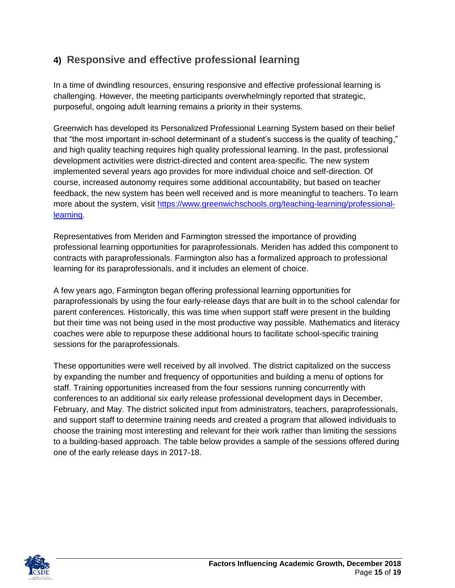## <span id="page-14-0"></span>**4) Responsive and effective professional learning**

In a time of dwindling resources, ensuring responsive and effective professional learning is challenging. However, the meeting participants overwhelmingly reported that strategic, purposeful, ongoing adult learning remains a priority in their systems.

Greenwich has developed its Personalized Professional Learning System based on their belief that "the most important in-school determinant of a student's success is the quality of teaching," and high quality teaching requires high quality professional learning. In the past, professional development activities were district-directed and content area-specific. The new system implemented several years ago provides for more individual choice and self-direction. Of course, increased autonomy requires some additional accountability, but based on teacher feedback, the new system has been well received and is more meaningful to teachers. To learn more about the system, visit [https://www.greenwichschools.org/teaching-learning/professional](https://www.greenwichschools.org/teaching-learning/professional-learning)[learning.](https://www.greenwichschools.org/teaching-learning/professional-learning)

Representatives from Meriden and Farmington stressed the importance of providing professional learning opportunities for paraprofessionals. Meriden has added this component to contracts with paraprofessionals. Farmington also has a formalized approach to professional learning for its paraprofessionals, and it includes an element of choice.

A few years ago, Farmington began offering professional learning opportunities for paraprofessionals by using the four early-release days that are built in to the school calendar for parent conferences. Historically, this was time when support staff were present in the building but their time was not being used in the most productive way possible. Mathematics and literacy coaches were able to repurpose these additional hours to facilitate school-specific training sessions for the paraprofessionals.

These opportunities were well received by all involved. The district capitalized on the success by expanding the number and frequency of opportunities and building a menu of options for staff. Training opportunities increased from the four sessions running concurrently with conferences to an additional six early release professional development days in December, February, and May. The district solicited input from administrators, teachers, paraprofessionals, and support staff to determine training needs and created a program that allowed individuals to choose the training most interesting and relevant for their work rather than limiting the sessions to a building-based approach. The table below provides a sample of the sessions offered during one of the early release days in 2017-18.

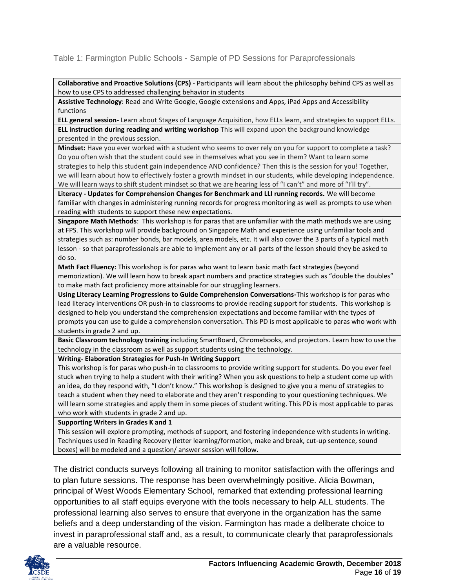Table 1: Farmington Public Schools - Sample of PD Sessions for Paraprofessionals

**Collaborative and Proactive Solutions (CPS)** - Participants will learn about the philosophy behind CPS as well as how to use CPS to addressed challenging behavior in students

**Assistive Technology**: Read and Write Google, Google extensions and Apps, iPad Apps and Accessibility functions

**ELL general session-** Learn about Stages of Language Acquisition, how ELLs learn, and strategies to support ELLs.

**ELL instruction during reading and writing workshop** This will expand upon the background knowledge presented in the previous session.

**Mindset:** Have you ever worked with a student who seems to over rely on you for support to complete a task? Do you often wish that the student could see in themselves what you see in them? Want to learn some strategies to help this student gain independence AND confidence? Then this is the session for you! Together, we will learn about how to effectively foster a growth mindset in our students, while developing independence. We will learn ways to shift student mindset so that we are hearing less of "I can't" and more of "I'll try".

**Literacy - Updates for Comprehension Changes for Benchmark and LLI running records.** We will become familiar with changes in administering running records for progress monitoring as well as prompts to use when reading with students to support these new expectations.

**Singapore Math Methods**: This workshop is for paras that are unfamiliar with the math methods we are using at FPS. This workshop will provide background on Singapore Math and experience using unfamiliar tools and strategies such as: number bonds, bar models, area models, etc. It will also cover the 3 parts of a typical math lesson - so that paraprofessionals are able to implement any or all parts of the lesson should they be asked to do so.

**Math Fact Fluency:** This workshop is for paras who want to learn basic math fact strategies (beyond memorization). We will learn how to break apart numbers and practice strategies such as "double the doubles" to make math fact proficiency more attainable for our struggling learners.

**Using Literacy Learning Progressions to Guide Comprehension Conversations-**This workshop is for paras who lead literacy interventions OR push-in to classrooms to provide reading support for students. This workshop is designed to help you understand the comprehension expectations and become familiar with the types of prompts you can use to guide a comprehension conversation. This PD is most applicable to paras who work with students in grade 2 and up.

**Basic Classroom technology training** including SmartBoard, Chromebooks, and projectors. Learn how to use the technology in the classroom as well as support students using the technology.

**Writing- Elaboration Strategies for Push-In Writing Support** 

This workshop is for paras who push-in to classrooms to provide writing support for students. Do you ever feel stuck when trying to help a student with their writing? When you ask questions to help a student come up with an idea, do they respond with, "I don't know." This workshop is designed to give you a menu of strategies to teach a student when they need to elaborate and they aren't responding to your questioning techniques. We will learn some strategies and apply them in some pieces of student writing. This PD is most applicable to paras who work with students in grade 2 and up.

**Supporting Writers in Grades K and 1**

This session will explore prompting, methods of support, and fostering independence with students in writing. Techniques used in Reading Recovery (letter learning/formation, make and break, cut-up sentence, sound boxes) will be modeled and a question/ answer session will follow.

The district conducts surveys following all training to monitor satisfaction with the offerings and to plan future sessions. The response has been overwhelmingly positive. Alicia Bowman, principal of West Woods Elementary School, remarked that extending professional learning opportunities to all staff equips everyone with the tools necessary to help ALL students. The professional learning also serves to ensure that everyone in the organization has the same beliefs and a deep understanding of the vision. Farmington has made a deliberate choice to invest in paraprofessional staff and, as a result, to communicate clearly that paraprofessionals are a valuable resource.

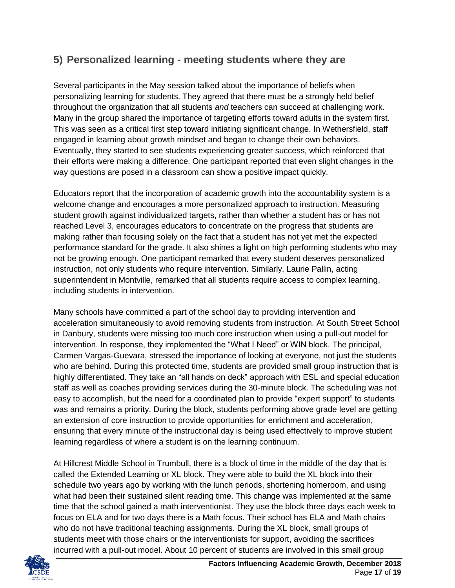### <span id="page-16-0"></span>**5) Personalized learning - meeting students where they are**

Several participants in the May session talked about the importance of beliefs when personalizing learning for students. They agreed that there must be a strongly held belief throughout the organization that all students *and* teachers can succeed at challenging work. Many in the group shared the importance of targeting efforts toward adults in the system first. This was seen as a critical first step toward initiating significant change. In Wethersfield, staff engaged in learning about growth mindset and began to change their own behaviors. Eventually, they started to see students experiencing greater success, which reinforced that their efforts were making a difference. One participant reported that even slight changes in the way questions are posed in a classroom can show a positive impact quickly.

Educators report that the incorporation of academic growth into the accountability system is a welcome change and encourages a more personalized approach to instruction. Measuring student growth against individualized targets, rather than whether a student has or has not reached Level 3, encourages educators to concentrate on the progress that students are making rather than focusing solely on the fact that a student has not yet met the expected performance standard for the grade. It also shines a light on high performing students who may not be growing enough. One participant remarked that every student deserves personalized instruction, not only students who require intervention. Similarly, Laurie Pallin, acting superintendent in Montville, remarked that all students require access to complex learning, including students in intervention.

Many schools have committed a part of the school day to providing intervention and acceleration simultaneously to avoid removing students from instruction. At South Street School in Danbury, students were missing too much core instruction when using a pull-out model for intervention. In response, they implemented the "What I Need" or WIN block. The principal, Carmen Vargas-Guevara, stressed the importance of looking at everyone, not just the students who are behind. During this protected time, students are provided small group instruction that is highly differentiated. They take an "all hands on deck" approach with ESL and special education staff as well as coaches providing services during the 30-minute block. The scheduling was not easy to accomplish, but the need for a coordinated plan to provide "expert support" to students was and remains a priority. During the block, students performing above grade level are getting an extension of core instruction to provide opportunities for enrichment and acceleration, ensuring that every minute of the instructional day is being used effectively to improve student learning regardless of where a student is on the learning continuum.

At Hillcrest Middle School in Trumbull, there is a block of time in the middle of the day that is called the Extended Learning or XL block. They were able to build the XL block into their schedule two years ago by working with the lunch periods, shortening homeroom, and using what had been their sustained silent reading time. This change was implemented at the same time that the school gained a math interventionist. They use the block three days each week to focus on ELA and for two days there is a Math focus. Their school has ELA and Math chairs who do not have traditional teaching assignments. During the XL block, small groups of students meet with those chairs or the interventionists for support, avoiding the sacrifices incurred with a pull-out model. About 10 percent of students are involved in this small group

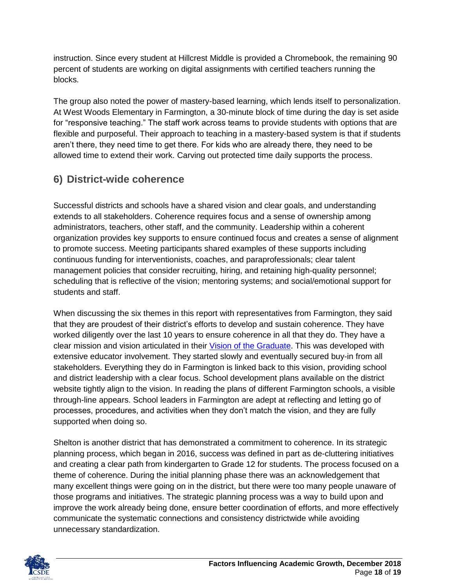instruction. Since every student at Hillcrest Middle is provided a Chromebook, the remaining 90 percent of students are working on digital assignments with certified teachers running the blocks.

The group also noted the power of mastery-based learning, which lends itself to personalization. At West Woods Elementary in Farmington, a 30-minute block of time during the day is set aside for "responsive teaching." The staff work across teams to provide students with options that are flexible and purposeful. Their approach to teaching in a mastery-based system is that if students aren't there, they need time to get there. For kids who are already there, they need to be allowed time to extend their work. Carving out protected time daily supports the process.

## <span id="page-17-0"></span>**6) District-wide coherence**

Successful districts and schools have a shared vision and clear goals, and understanding extends to all stakeholders. Coherence requires focus and a sense of ownership among administrators, teachers, other staff, and the community. Leadership within a coherent organization provides key supports to ensure continued focus and creates a sense of alignment to promote success. Meeting participants shared examples of these supports including continuous funding for interventionists, coaches, and paraprofessionals; clear talent management policies that consider recruiting, hiring, and retaining high-quality personnel; scheduling that is reflective of the vision; mentoring systems; and social/emotional support for students and staff.

When discussing the six themes in this report with representatives from Farmington, they said that they are proudest of their district's efforts to develop and sustain coherence. They have worked diligently over the last 10 years to ensure coherence in all that they do. They have a clear mission and vision articulated in their [Vision of the Graduate.](http://www.fpsct.org/board-of-education/vision-of-the-graduate) This was developed with extensive educator involvement. They started slowly and eventually secured buy-in from all stakeholders. Everything they do in Farmington is linked back to this vision, providing school and district leadership with a clear focus. School development plans available on the district website tightly align to the vision. In reading the plans of different Farmington schools, a visible through-line appears. School leaders in Farmington are adept at reflecting and letting go of processes, procedures, and activities when they don't match the vision, and they are fully supported when doing so.

Shelton is another district that has demonstrated a commitment to coherence. In its strategic planning process, which began in 2016, success was defined in part as de-cluttering initiatives and creating a clear path from kindergarten to Grade 12 for students. The process focused on a theme of coherence. During the initial planning phase there was an acknowledgement that many excellent things were going on in the district, but there were too many people unaware of those programs and initiatives. The strategic planning process was a way to build upon and improve the work already being done, ensure better coordination of efforts, and more effectively communicate the systematic connections and consistency districtwide while avoiding unnecessary standardization.